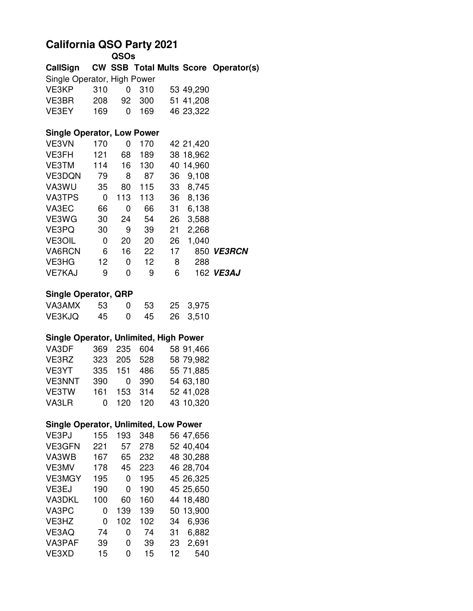## **California QSO Party 2021 QSOs**

| CallSign                                      |     |     |          |    |           | <b>CW SSB Total Mults Score Operator(s)</b> |
|-----------------------------------------------|-----|-----|----------|----|-----------|---------------------------------------------|
| Single Operator, High Power                   |     |     |          |    |           |                                             |
| VE3KP                                         | 310 | 0   | 310      |    | 53 49,290 |                                             |
| VE3BR                                         | 208 | 92  | 300      |    | 51 41,208 |                                             |
| VE3EY                                         | 169 | 0   | 169      |    | 46 23,322 |                                             |
|                                               |     |     |          |    |           |                                             |
| <b>Single Operator, Low Power</b>             |     |     |          |    |           |                                             |
| VE3VN                                         | 170 | 0   | 170      |    | 42 21,420 |                                             |
| VE3FH                                         | 121 | 68  | 189      |    | 38 18,962 |                                             |
| VE3TM                                         | 114 | 16  | 130      |    | 40 14,960 |                                             |
| VE3DQN                                        | 79  | 8   | 87       | 36 | 9,108     |                                             |
| VA3WU                                         | 35  | 80  | 115      |    | 33 8,745  |                                             |
| VA3TPS                                        | 0   | 113 | 113      |    | 36 8,136  |                                             |
| VA3EC                                         | 66  | 0   | 66       | 31 | 6,138     |                                             |
| VE3WG                                         | 30  | 24  | 54       | 26 | 3,588     |                                             |
| VE3PQ                                         | 30  | 9   | 39       | 21 | 2,268     |                                             |
| <b>VE3OIL</b>                                 | 0   | 20  | 20       | 26 | 1,040     |                                             |
| VA6RCN                                        | 6   | 16  | 22       | 17 |           | 850 VE3RCN                                  |
| VE3HG                                         | 12  | 0   | 12       | 8  | 288       |                                             |
| <b>VE7KAJ</b>                                 | 9   | 0   | 9        | 6  |           | 162 VE3AJ                                   |
|                                               |     |     |          |    |           |                                             |
| <b>Single Operator, QRP</b>                   |     |     |          |    |           |                                             |
| VA3AMX                                        | 53  | 0   | 53       | 25 | 3,975     |                                             |
| VE3KJQ                                        | 45  | 0   | 45       | 26 | 3,510     |                                             |
| <b>Single Operator, Unlimited, High Power</b> |     |     |          |    |           |                                             |
|                                               |     |     |          |    |           |                                             |
| VA3DF                                         | 369 | 235 | 604      |    | 58 91,466 |                                             |
| VE3RZ                                         | 323 | 205 | 528      |    | 58 79,982 |                                             |
| VE3YT                                         | 335 | 151 | 486      |    | 55 71,885 |                                             |
| <b>VE3NNT</b>                                 | 390 |     | 390<br>0 |    | 54 63,180 |                                             |
| VE3TW                                         | 161 | 153 | 314      |    | 52 41,028 |                                             |
| VA3LR                                         | 0   | 120 | 120      |    | 43 10,320 |                                             |
| <b>Single Operator, Unlimited, Low Power</b>  |     |     |          |    |           |                                             |
| VE3PJ                                         | 155 | 193 | 348      |    | 56 47,656 |                                             |
| <b>VE3GFN</b>                                 | 221 | 57  | 278      |    | 52 40,404 |                                             |
| VA3WB                                         | 167 | 65  | 232      |    | 48 30,288 |                                             |
| VE3MV                                         | 178 | 45  | 223      |    | 46 28,704 |                                             |
| <b>VE3MGY</b>                                 | 195 | 0   | 195      |    | 45 26,325 |                                             |
| VE3EJ                                         | 190 | 0   | 190      |    | 45 25,650 |                                             |
|                                               |     |     | 160      |    |           |                                             |
| VA3DKL                                        | 100 | 60  |          |    | 44 18,480 |                                             |
| VA3PC                                         | 0   | 139 | 139      |    | 50 13,900 |                                             |
| VE3HZ                                         | 0   | 102 | 102      | 34 | 6,936     |                                             |
| VE3AQ                                         | 74  | 0   | 74       | 31 | 6,882     |                                             |
| VA3PAF                                        | 39  | 0   | 39       | 23 | 2,691     |                                             |
| VE3XD                                         | 15  | 0   | 15       | 12 | 540       |                                             |